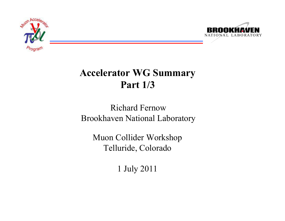



# **Accelerator WG Summary Part 1/3**

### Richard FernowBrookhaven National Laboratory

Muon Collider Workshop Telluride, Colorado

1 July 2011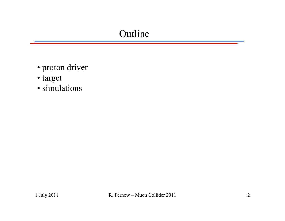## Outline

- proton driver
- target
- simulations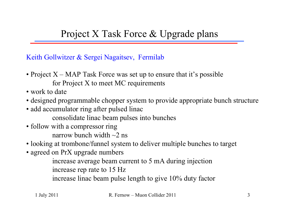Keith Gollwitzer & Sergei Nagaitsev, Fermilab

- Project X MAP Task Force was set up to ensure that it's possible for Project X to meet MC requirements
- work to date
- designed programmable chopper system to provide appropriate bunch structure
- add accumulator ring after pulsed linac consolidate linac beam pulses into bunches
- follow with a compressor ring narrow bunch width  $\sim$ 2 ns
- looking at trombone/funnel system to deliver multiple bunches to target
- agreed on PrX upgrade numbers

increase average beam current to 5 mA during injection increase rep rate to 15 Hz

increase linac beam pulse length to give 10% duty factor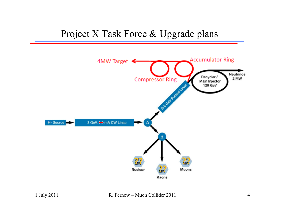### Project X Task Force & Upgrade plans

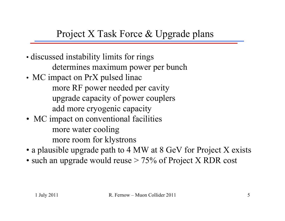### Project X Task Force & Upgrade plans

- discussed instability limits for rings determines maximum power per bunch
- MC impact on PrX pulsed linac more RF power needed per cavity upgrade capacity of power couplers add more cryogenic capacity
- MC impact on conventional facilities more water cooling more room for klystrons
- a plausible upgrade path to 4 MW at 8 GeV for Project X exists
- $\bullet$  such an upgrade would reuse  $>75\%$  of Project X RDR cost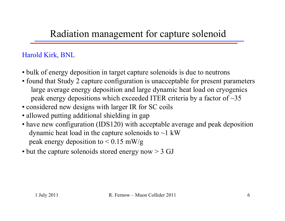## Radiation management for capture solenoid

#### Harold Kirk, BNL

- bulk of energy deposition in target capture solenoids is due to neutrons
- found that Study 2 capture configuration is unacceptable for present parameters large average energy deposition and large dynamic heat load on cryogenics peak energy depositions which exceeded ITER criteria by a factor of ~35
- considered new designs with larger IR for SC coils
- allowed putting additional shielding in gap
- have new configuration (IDS120) with acceptable average and peak deposition dynamic heat load in the capture solenoids to  $\sim$ 1 kW peak energy deposition to  $< 0.15$  mW/g
- but the capture solenoids stored energy now > 3 GJ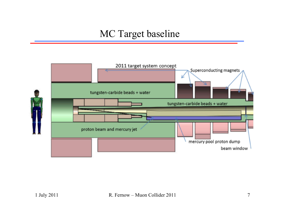### MC Target baseline

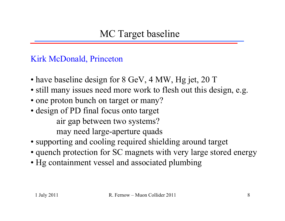Kirk McDonald, Princeton

- have baseline design for 8 GeV, 4 MW, Hg jet, 20 T
- still many issues need more work to flesh out this design, e.g.
- one proton bunch on target or many?
- design of PD final focus onto target air gap between two systems? may need large-aperture quads
- supporting and cooling required shielding around target
- quench protection for SC magnets with very large stored energy
- Hg containment vessel and associated plumbing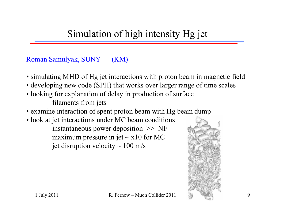# Simulation of high intensity Hg jet

#### Roman Samulyak, SUNY (KM)

- simulating MHD of Hg jet interactions with proton beam in magnetic field
- developing new code (SPH) that works over larger range of time scales
- looking for explanation of delay in production of surface filaments from jets
- examine interaction of spent proton beam with Hg beam dump
- look at jet interactions under MC beam conditions instantaneous power deposition >> NF maximum pressure in jet  $\sim$  x10 for MC jet disruption velocity  $\sim 100$  m/s

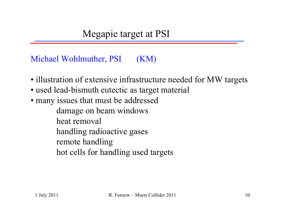Michael Wohlmuther, PSI (KM)

- illustration of extensive infrastructure needed for MW targets
- used lead-bismuth eutectic as target material
- many issues that must be addressed

damage on beam windows heat removal

handling radioactive gases

remote handling

hot cells for handling used targets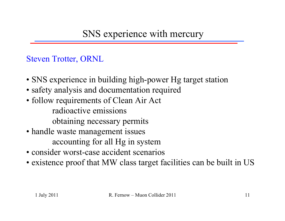### SNS experience with mercury

Steven Trotter, ORNL

- SNS experience in building high-power Hg target station
- safety analysis and documentation required
- follow requirements of Clean Air Act radioactive emissionsobtaining necessary permits
- handle waste management issues accounting for all Hg in system
- consider worst-case accident scenarios
- existence proof that MW class target facilities can be built in US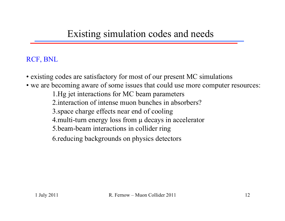### Existing simulation codes and needs

#### RCF, BNL

- existing codes are satisfactory for most of our present MC simulations
- we are becoming aware of some issues that could use more computer resources:
	- 1.Hg jet interactions for MC beam parameters
	- 2.interaction of intense muon bunches in absorbers?
	- 3.space charge effects near end of cooling
	- 4. multi-turn energy loss from  $\mu$  decays in accelerator
	- 5.beam-beam interactions in collider ring
	- 6.reducing backgrounds on physics detectors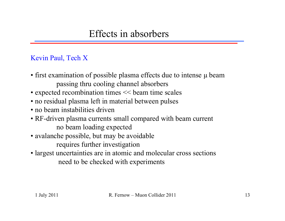## Effects in absorbers

#### Kevin Paul, Tech X

- first examination of possible plasma effects due to intense µ beam passing thru cooling channel absorbers
- expected recombination times  $<<$  beam time scales
- no residual plasma left in material between pulses
- no beam instabilities driven
- RF-driven plasma currents small compared with beam current no beam loading expected
- avalanche possible, but may be avoidable requires further investigation
- largest uncertainties are in atomic and molecular cross sections need to be checked with experiments